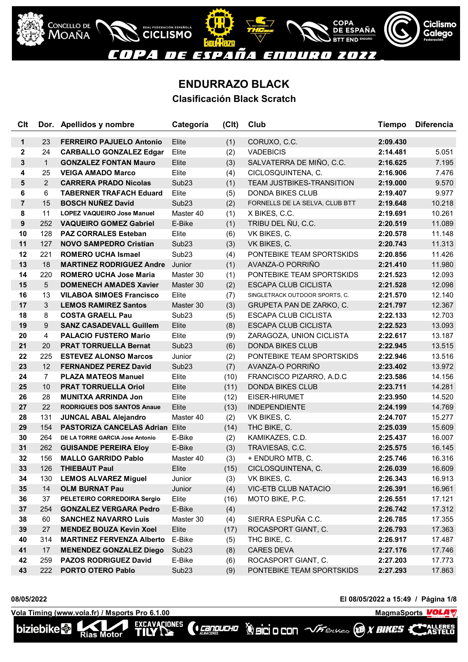

## **ENDURRAZO BLACK**

**Clasificación Black Scratch**

| Clt            |                | Dor. Apellidos y nombre                | Categoría         | (C <sub>l</sub> ) | Club                            | <b>Tiempo</b> | <b>Diferencia</b> |
|----------------|----------------|----------------------------------------|-------------------|-------------------|---------------------------------|---------------|-------------------|
| $\mathbf{1}$   | 23             | <b>FERREIRO PAJUELO Antonio</b>        | Elite             | (1)               | CORUXO, C.C.                    | 2:09.430      |                   |
| $\mathbf{2}$   | 24             | <b>CARBALLO GONZALEZ Edgar</b>         | Elite             | (2)               | <b>VADEBICIS</b>                | 2:14.481      | 5.051             |
| 3              | $\mathbf{1}$   | <b>GONZALEZ FONTAN Mauro</b>           | Elite             | (3)               | SALVATERRA DE MIÑO, C.C.        | 2:16.625      | 7.195             |
| 4              | 25             | <b>VEIGA AMADO Marco</b>               | Elite             | (4)               | CICLOSQUINTENA, C.              | 2:16.906      | 7.476             |
| 5              | 2              | <b>CARRERA PRADO Nicolas</b>           | Sub <sub>23</sub> | (1)               | TEAM JUSTBIKES-TRANSITION       | 2:19.000      | 9.570             |
| 6              | 6              | <b>TABERNER TRAFACH Eduard</b>         | Elite             | (5)               | <b>DONDA BIKES CLUB</b>         | 2:19.407      | 9.977             |
| $\overline{7}$ | 15             | <b>BOSCH NUÑEZ David</b>               | Sub <sub>23</sub> | (2)               | FORNELLS DE LA SELVA, CLUB BTT  | 2:19.648      | 10.218            |
| 8              | 11             | <b>LOPEZ VAQUEIRO Jose Manuel</b>      | Master 40         | (1)               | X BIKES, C.C.                   | 2:19.691      | 10.261            |
| 9              | 252            | <b>VAQUEIRO GOMEZ Gabriel</b>          | E-Bike            | (1)               | TRIBU DEL ÑU, C.C.              | 2:20.519      | 11.089            |
| 10             | 128            | <b>PAZ CORRALES Esteban</b>            | Elite             | (6)               | VK BIKES, C.                    | 2:20.578      | 11.148            |
| 11             | 127            | <b>NOVO SAMPEDRO Cristian</b>          | Sub <sub>23</sub> | (3)               | VK BIKES, C.                    | 2:20.743      | 11.313            |
| 12             | 221            | <b>ROMERO UCHA Ismael</b>              | Sub <sub>23</sub> | (4)               | PONTEBIKE TEAM SPORTSKIDS       | 2:20.856      | 11.426            |
| 13             | 18             | <b>MARTINEZ RODRIGUEZ Andre</b>        | Junior            | (1)               | AVANZA-O PORRIÑO                | 2:21.410      | 11.980            |
| 14             | 220            | <b>ROMERO UCHA Jose Maria</b>          | Master 30         | (1)               | PONTEBIKE TEAM SPORTSKIDS       | 2:21.523      | 12.093            |
| 15             | 5              | <b>DOMENECH AMADES Xavier</b>          | Master 30         | (2)               | <b>ESCAPA CLUB CICLISTA</b>     | 2:21.528      | 12.098            |
| 16             | 13             | <b>VILABOA SIMOES Francisco</b>        | Elite             | (7)               | SINGLETRACK OUTDOOR SPORTS, C.  | 2:21.570      | 12.140            |
| 17             | 3              | <b>LEMOS RAMIREZ Santos</b>            | Master 30         | (3)               | <b>GRUPETA PAN DE ZARKO, C.</b> | 2:21.797      | 12.367            |
| 18             | 8              | <b>COSTA GRAELL Pau</b>                | Sub <sub>23</sub> | (5)               | ESCAPA CLUB CICLISTA            | 2:22.133      | 12.703            |
| 19             | 9              | <b>SANZ CASADEVALL Guillem</b>         | Elite             | (8)               | <b>ESCAPA CLUB CICLISTA</b>     | 2:22.523      | 13.093            |
| 20             | $\overline{4}$ | <b>PALACIO FUSTERO Mario</b>           | Elite             | (9)               | ZARAGOZA, UNION CICLISTA        | 2:22.617      | 13.187            |
| 21             | 20             | <b>PRAT TORRUELLA Bernat</b>           | Sub <sub>23</sub> | (6)               | <b>DONDA BIKES CLUB</b>         | 2:22.945      | 13.515            |
| 22             | 225            | <b>ESTEVEZ ALONSO Marcos</b>           | Junior            | (2)               | PONTEBIKE TEAM SPORTSKIDS       | 2:22.946      | 13.516            |
| 23             | 12             | <b>FERNANDEZ PEREZ David</b>           | Sub <sub>23</sub> | (7)               | AVANZA-O PORRIÑO                | 2:23.402      | 13.972            |
| 24             | $\overline{7}$ | <b>PLAZA MATEOS Manuel</b>             | Elite             | (10)              | FRANCISCO PIZARRO, A.D.C        | 2:23.586      | 14.156            |
| 25             | 10             | <b>PRAT TORRUELLA Oriol</b>            | Elite             | (11)              | <b>DONDA BIKES CLUB</b>         | 2:23.711      | 14.281            |
| 26             | 28             | <b>MUNITXA ARRINDA Jon</b>             | Elite             | (12)              | EISER-HIRUMET                   | 2:23.950      | 14.520            |
| 27             | 22             | <b>RODRIGUES DOS SANTOS Anaue</b>      | Elite             | (13)              | <b>INDEPENDIENTE</b>            | 2:24.199      | 14.769            |
| 28             | 131            | <b>JUNCAL ABAL Alejandro</b>           | Master 40         | (2)               | VK BIKES, C.                    | 2:24.707      | 15.277            |
| 29             | 154            | <b>PASTORIZA CANCELAS Adrian Elite</b> |                   | (14)              | THC BIKE, C.                    | 2:25.039      | 15.609            |
| 30             | 264            | DE LA TORRE GARCIA Jose Antonio        | E-Bike            | (2)               | KAMIKAZES, C.D.                 | 2:25.437      | 16.007            |
| 31             | 262            | <b>GUISANDE PEREIRA Eloy</b>           | E-Bike            | (3)               | TRAVIESAS, C.C.                 | 2:25.575      | 16.145            |
| 32             | 156            | <b>MALLO GARRIDO Pablo</b>             | Master 40         | (3)               | + ENDURO MTB, C.                | 2:25.746      | 16.316            |
| 33             | 126            | <b>THIEBAUT Paul</b>                   | Elite             | (15)              | CICLOSQUINTENA, C.              | 2:26.039      | 16.609            |
| 34             | 130            | <b>LEMOS ALVAREZ Miguel</b>            | Junior            | (3)               | VK BIKES, C.                    | 2:26.343      | 16.913            |
| 35             | 14             | <b>OLM BURNAT Pau</b>                  | Junior            | (4)               | <b>VIC-ETB CLUB NATACIO</b>     | 2:26.391      | 16.961            |
| 36             | 37             | PELETEIRO CORREDOIRA Sergio            | Elite             | (16)              | MOTO BIKE, P.C.                 | 2:26.551      | 17.121            |
| 37             | 254            | <b>GONZALEZ VERGARA Pedro</b>          | E-Bike            | (4)               |                                 | 2:26.742      | 17.312            |
| 38             | 60             | <b>SANCHEZ NAVARRO Luis</b>            | Master 30         | (4)               | SIERRA ESPUÑA C.C.              | 2:26.785      | 17.355            |
| 39             | 27             | <b>MENDEZ BOUZA Kevin Xoel</b>         | Elite             | (17)              | ROCASPORT GIANT, C.             | 2:26.793      | 17.363            |
| 40             | 314            | <b>MARTINEZ FERVENZA Alberto</b>       | E-Bike            | (5)               | THC BIKE, C.                    | 2:26.917      | 17.487            |
| 41             | 17             | <b>MENENDEZ GONZALEZ Diego</b>         | Sub <sub>23</sub> | (8)               | <b>CARES DEVA</b>               | 2:27.176      | 17.746            |
| 42             | 259            | <b>PAZOS RODRIGUEZ David</b>           | E-Bike            | (6)               | ROCASPORT GIANT, C.             | 2:27.203      | 17.773            |
| 43             | 222            | <b>PORTO OTERO Pablo</b>               | Sub <sub>23</sub> | (9)               | PONTEBIKE TEAM SPORTSKIDS       | 2:27.293      | 17.863            |

*CENDUCHO* 

**08/05/2022 El 08/05/2022 a 15:49 / Página 1/8**

**VolaSoftControlPdf**

ALLERES<br>ASTELO

**Vola Timing (www.vola.fr) / Msports Pro 6.1.00 MagmaSports MagmaSports** MagmaSports MagmaSports MagmaSports MagmaSports MagmaSports MagmaSports MagmaGports MagmaGports MagmaGports MagmaGports MagmaGports MagmaGports Ma EXCAVACIONES

Rias Motor

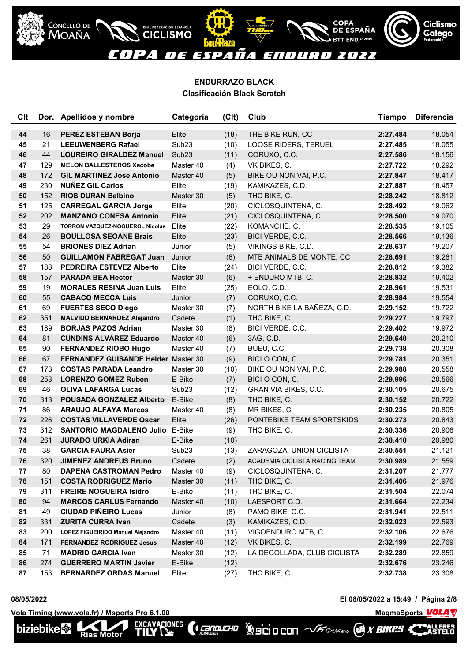

COPA<br><u>DE ESPAÑA</u>

Ciclismo

**Galego** 

### **ENDURRAZO BLACK Clasificación Black Scratch**

| <b>C<sub>It</sub></b> |     | Dor. Apellidos y nombre                    | Categoría         | (C <sub>l</sub> ) | Club                          | <b>Tiempo</b> | <b>Diferencia</b> |
|-----------------------|-----|--------------------------------------------|-------------------|-------------------|-------------------------------|---------------|-------------------|
| 44                    | 16  | <b>PEREZ ESTEBAN Borja</b>                 | Elite             | (18)              | THE BIKE RUN, CC              | 2:27.484      | 18.054            |
| 45                    | 21  | <b>LEEUWENBERG Rafael</b>                  | Sub <sub>23</sub> | (10)              | LOOSE RIDERS, TERUEL          | 2:27.485      | 18.055            |
| 46                    | 44  | <b>LOUREIRO GIRALDEZ Manuel</b>            | Sub <sub>23</sub> | (11)              | CORUXO, C.C.                  | 2:27.586      | 18.156            |
| 47                    | 129 | <b>MELON BALLESTEROS Xacobe</b>            | Master 40         | (4)               | VK BIKES, C.                  | 2:27.722      | 18.292            |
| 48                    | 172 | <b>GIL MARTINEZ Jose Antonio</b>           | Master 40         | (5)               | BIKE OU NON VAI, P.C.         | 2:27.847      | 18.417            |
| 49                    | 230 | <b>NUÑEZ GIL Carlos</b>                    | Elite             | (19)              | KAMIKAZES, C.D.               | 2:27.887      | 18.457            |
| 50                    | 152 | <b>RIOS DURAN Balbino</b>                  | Master 30         | (5)               | THC BIKE, C.                  | 2:28.242      | 18.812            |
| 51                    | 125 | <b>CARREGAL GARCIA Jorge</b>               | Elite             | (20)              | CICLOSQUINTENA, C.            | 2:28.492      | 19.062            |
| 52                    | 202 | <b>MANZANO CONESA Antonio</b>              | Elite             | (21)              | CICLOSQUINTENA, C.            | 2:28.500      | 19.070            |
| 53                    | 29  | <b>TORRON VAZQUEZ-NOGUEROL Nicolas</b>     | Elite             | (22)              | KOMANCHE, C.                  | 2:28.535      | 19.105            |
| 54                    | 26  | <b>BOULLOSA SEOANE Brais</b>               | Elite             | (23)              | BICI VERDE, C.C.              | 2:28.566      | 19.136            |
| 55                    | 54  | <b>BRIONES DIEZ Adrian</b>                 | Junior            | (5)               | VIKINGS BIKE, C.D.            | 2:28.637      | 19.207            |
| 56                    | 50  | <b>GUILLAMON FABREGAT Juan</b>             | Junior            | (6)               | MTB ANIMALS DE MONTE, CC      | 2:28.691      | 19.261            |
| 57                    | 188 | <b>PEDREIRA ESTEVEZ Alberto</b>            | Elite             | (24)              | BICI VERDE, C.C.              | 2:28.812      | 19.382            |
| 58                    | 157 | <b>PARADA BEA Hector</b>                   | Master 30         | (6)               | + ENDURO MTB, C.              | 2:28.832      | 19.402            |
| 59                    | 19  | <b>MORALES RESINA Juan Luis</b>            | Elite             | (25)              | EOLO, C.D.                    | 2:28.961      | 19.531            |
| 60                    | 55  | <b>CABACO MECCA Luis</b>                   | Junior            | (7)               | CORUXO, C.C.                  | 2:28.984      | 19.554            |
| 61                    | 69  | <b>FUERTES SECO Diego</b>                  | Master 30         | (7)               | NORTH BIKE LA BAÑEZA, C.D.    | 2:29.152      | 19.722            |
| 62                    | 351 | <b>MALVIDO BERNARDEZ Alejandro</b>         | Cadete            | (1)               | THC BIKE, C.                  | 2:29.227      | 19.797            |
| 63                    | 189 | <b>BORJAS PAZOS Adrian</b>                 | Master 30         | (8)               | BICI VERDE, C.C.              | 2:29.402      | 19.972            |
| 64                    | 81  | <b>CUNDINS ALVAREZ Eduardo</b>             | Master 40         | (6)               | 3AG, C.D.                     | 2:29.640      | 20.210            |
| 65                    | 90  | <b>FERNANDEZ RIOBO Hugo</b>                | Master 40         | (7)               | BUEU, C.C.                    | 2:29.738      | 20.308            |
| 66                    | 67  | <b>FERNANDEZ GUISANDE Helder Master 30</b> |                   | (9)               | BICI O CON, C.                | 2:29.781      | 20.351            |
| 67                    | 173 | <b>COSTAS PARADA Leandro</b>               | Master 30         | (10)              | BIKE OU NON VAI, P.C.         | 2:29.988      | 20.558            |
| 68                    | 253 | <b>LORENZO GOMEZ Ruben</b>                 | E-Bike            | (7)               | BICI O CON, C.                | 2:29.996      | 20.566            |
| 69                    | 46  | <b>OLIVA LAFARGA Lucas</b>                 | Sub <sub>23</sub> | (12)              | GRAN VIA BIKES, C.C.          | 2:30.105      | 20.675            |
| 70                    | 313 | <b>POUSADA GONZALEZ Alberto</b>            | E-Bike            | (8)               | THC BIKE, C.                  | 2:30.152      | 20.722            |
| 71                    | 86  | <b>ARAUJO ALFAYA Marcos</b>                | Master 40         | (8)               | MR BIKES, C.                  | 2:30.235      | 20.805            |
| 72                    | 226 | <b>COSTAS VILLAVERDE Oscar</b>             | Elite             | (26)              | PONTEBIKE TEAM SPORTSKIDS     | 2:30.273      | 20.843            |
| 73                    | 312 | <b>SANTORIO MAGDALENO Julio</b>            | E-Bike            | (9)               | THC BIKE, C.                  | 2:30.336      | 20.906            |
| 74                    | 261 | <b>JURADO URKIA Adiran</b>                 | E-Bike            | (10)              |                               | 2:30.410      | 20.980            |
| 75                    | 38  | <b>GARCIA FAURA Asier</b>                  | Sub <sub>23</sub> | (13)              | ZARAGOZA, UNION CICLISTA      | 2:30.551      | 21.121            |
| 76                    | 320 | <b>JIMENEZ ANDREUS Bruno</b>               | Cadete            | (2)               | ACADEMIA CICLISTA RACING TEAM | 2:30.989      | 21.559            |
| 77                    | 80  | DAPENA CASTROMAN Pedro                     | Master 40         | (9)               | CICLOSQUINTENA, C.            | 2:31.207      | 21.777            |
| 78                    | 151 | <b>COSTA RODRIGUEZ Mario</b>               | Master 30         | (11)              | THC BIKE, C.                  | 2:31.406      | 21.976            |
| 79                    | 311 | <b>FREIRE NOGUEIRA Isidro</b>              | E-Bike            | (11)              | THC BIKE, C.                  | 2:31.504      | 22.074            |
| 80                    | 94  | <b>MARCOS CARLUS Fernando</b>              | Master 40         | (10)              | LAESPORT C.D.                 | 2:31.664      | 22.234            |
| 81                    | 49  | <b>CIUDAD PIÑEIRO Lucas</b>                | Junior            | (8)               | PAMO BIKE, C.C.               | 2:31.941      | 22.511            |
| 82                    | 331 | <b>ZURITA CURRA Ivan</b>                   | Cadete            | (3)               | KAMIKAZES, C.D.               | 2:32.023      | 22.593            |
| 83                    | 200 | LOPEZ FIGUEIRIDO Manuel Alejandro          | Master 40         | (11)              | VIGOENDURO MTB, C.            | 2:32.106      | 22.676            |
| 84                    | 171 | <b>FERNANDEZ RODRIGUEZ Jesus</b>           | Master 40         | (12)              | VK BIKES, C.                  | 2:32.199      | 22.769            |
| 85                    | 71  | <b>MADRID GARCIA Ivan</b>                  | Master 30         | (12)              | LA DEGOLLADA, CLUB CICLISTA   | 2:32.289      | 22.859            |
| 86                    | 274 | <b>GUERRERO MARTIN Javier</b>              | E-Bike            | (12)              |                               | 2:32.676      | 23.246            |
| 87                    | 153 | <b>BERNARDEZ ORDAS Manuel</b>              | Elite             | (27)              | THC BIKE, C.                  | 2:32.738      | 23.308            |

*CENDUCHO* 

**08/05/2022 El 08/05/2022 a 15:49 / Página 2/8**

Vola Timing (www.vola.fr) / Msports Pro 6.1.00<br>**biziebike** as Motor **TILY New COLLEGE COLLEGE AREASTELD** 

Rias Motor



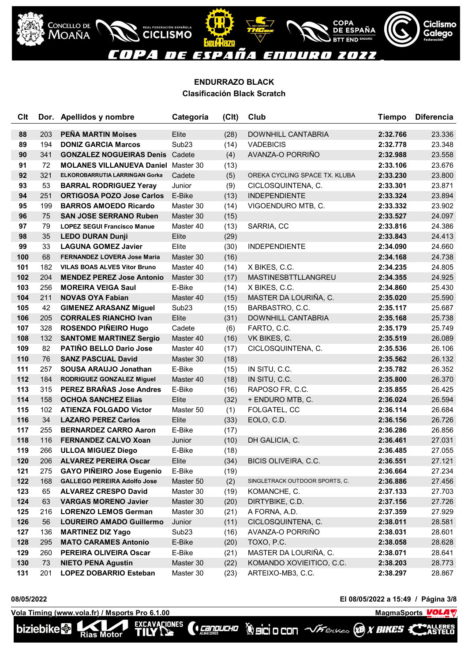

COPA<br><u>DE ESPAÑA</u>

**END ENDURO** 

Ciclismo

**Galego** 

### **ENDURRAZO BLACK Clasificación Black Scratch**

REAL FEDERACIÓN ESPAÑOLA

| <b>C<sub>It</sub></b> |     | Dor. Apellidos y nombre                    | Categoría         | (C <sub>l</sub> ) | Club                           | <b>Tiempo</b> | <b>Diferencia</b> |
|-----------------------|-----|--------------------------------------------|-------------------|-------------------|--------------------------------|---------------|-------------------|
| 88                    | 203 | <b>PEÑA MARTIN Moises</b>                  | Elite             | (28)              | DOWNHILL CANTABRIA             | 2:32.766      | 23.336            |
| 89                    | 194 | <b>DONIZ GARCIA Marcos</b>                 | Sub <sub>23</sub> | (14)              | <b>VADEBICIS</b>               | 2:32.778      | 23.348            |
| 90                    | 341 | <b>GONZALEZ NOGUEIRAS Denis Cadete</b>     |                   | (4)               | AVANZA-O PORRIÑO               | 2:32.988      | 23.558            |
| 91                    | 72  | <b>MOLANES VILLANUEVA Daniel Master 30</b> |                   | (13)              |                                | 2:33.106      | 23.676            |
| 92                    | 321 | ELKOROBARRUTIA LARRINGAN Gorka             | Cadete            | (5)               | OREKA CYCLING SPACE TX. KLUBA  | 2:33.230      | 23.800            |
| 93                    | 53  | <b>BARRAL RODRIGUEZ Yeray</b>              | Junior            | (9)               | CICLOSQUINTENA, C.             | 2:33.301      | 23.871            |
| 94                    | 251 | <b>ORTIGOSA POZO Jose Carlos</b>           | E-Bike            | (13)              | <b>INDEPENDIENTE</b>           | 2:33.324      | 23.894            |
| 95                    | 199 | <b>BARROS AMOEDO Ricardo</b>               | Master 30         | (14)              | VIGOENDURO MTB, C.             | 2:33.332      | 23.902            |
| 96                    | 75  | <b>SAN JOSE SERRANO Ruben</b>              | Master 30         | (15)              |                                | 2:33.527      | 24.097            |
| 97                    | 79  | <b>LOPEZ SEGUI Francisco Manue</b>         | Master 40         | (13)              | SARRIA, CC                     | 2:33.816      | 24.386            |
| 98                    | 35  | <b>LEDO DURAN Dunji</b>                    | Elite             | (29)              |                                | 2:33.843      | 24.413            |
| 99                    | 33  | <b>LAGUNA GOMEZ Javier</b>                 | Elite             | (30)              | <b>INDEPENDIENTE</b>           | 2:34.090      | 24.660            |
| 100                   | 68  | <b>FERNANDEZ LOVERA Jose Maria</b>         | Master 30         | (16)              |                                | 2:34.168      | 24.738            |
| 101                   | 182 | <b>VILAS BOAS ALVES Vitor Bruno</b>        | Master 40         | (14)              | X BIKES, C.C.                  | 2:34.235      | 24.805            |
| 102                   | 204 | <b>MENDEZ PEREZ Jose Antonio</b>           | Master 30         | (17)              | MASTINESBTTLLANGREU            | 2:34.355      | 24.925            |
| 103                   | 256 | <b>MOREIRA VEIGA Saul</b>                  | E-Bike            | (14)              | X BIKES, C.C.                  | 2:34.860      | 25.430            |
| 104                   | 211 | <b>NOVAS OYA Fabian</b>                    | Master 40         | (15)              | MASTER DA LOURIÑA, C.          | 2:35.020      | 25.590            |
| 105                   | 42  | <b>GIMENEZ ARASANZ Miguel</b>              | Sub <sub>23</sub> | (15)              | BARBASTRO, C.C.                | 2:35.117      | 25.687            |
| 106                   | 205 | <b>CORRALES RIANCHO Ivan</b>               | Elite             | (31)              | <b>DOWNHILL CANTABRIA</b>      | 2:35.168      | 25.738            |
| 107                   | 328 | ROSENDO PIÑEIRO Hugo                       | Cadete            | (6)               | FARTO, C.C.                    | 2:35.179      | 25.749            |
| 108                   | 132 | <b>SANTOME MARTINEZ Sergio</b>             | Master 40         | (16)              | VK BIKES, C.                   | 2:35.519      | 26.089            |
| 109                   | 82  | PATIÑO BELLO Dario Jose                    | Master 40         | (17)              | CICLOSQUINTENA, C.             | 2:35.536      | 26.106            |
| 110                   | 76  | <b>SANZ PASCUAL David</b>                  | Master 30         | (18)              |                                | 2:35.562      | 26.132            |
| 111                   | 257 | <b>SOUSA ARAUJO Jonathan</b>               | E-Bike            | (15)              | IN SITU, C.C.                  | 2:35.782      | 26.352            |
| 112                   | 184 | RODRIGUEZ GONZALEZ Miguel                  | Master 40         | (18)              | IN SITU, C.C.                  | 2:35.800      | 26.370            |
| 113                   | 315 | PEREZ BRAÑAS Jose Andres                   | E-Bike            | (16)              | RAPOSO FR, C.C.                | 2:35.855      | 26.425            |
| 114                   | 158 | <b>OCHOA SANCHEZ Elias</b>                 | Elite             | (32)              | + ENDURO MTB, C.               | 2:36.024      | 26.594            |
| 115                   | 102 | <b>ATIENZA FOLGADO Victor</b>              | Master 50         | (1)               | FOLGATEL, CC                   | 2:36.114      | 26.684            |
| 116                   | 34  | <b>LAZARO PEREZ Carlos</b>                 | Elite             | (33)              | EOLO, C.D.                     | 2:36.156      | 26.726            |
| 117                   | 255 | <b>BERNARDEZ CARRO Aaron</b>               | E-Bike            | (17)              |                                | 2:36.286      | 26.856            |
| 118                   | 116 | <b>FERNANDEZ CALVO Xoan</b>                | Junior            | (10)              | DH GALICIA, C.                 | 2:36.461      | 27.031            |
| 119                   | 266 | <b>ULLOA MIGUEZ Diego</b>                  | E-Bike            | (18)              |                                | 2:36.485      | 27.055            |
| 120                   | 206 | <b>ALVAREZ PEREIRA Oscar</b>               | Elite             | (34)              | BICIS OLIVEIRA, C.C.           | 2:36.551      | 27.121            |
| 121                   | 275 | <b>GAYO PIÑEIRO Jose Eugenio</b>           | E-Bike            | (19)              |                                | 2:36.664      | 27.234            |
| 122                   | 168 | <b>GALLEGO PEREIRA Adolfo Jose</b>         | Master 50         | (2)               | SINGLETRACK OUTDOOR SPORTS, C. | 2:36.886      | 27.456            |
| 123                   | 65  | <b>ALVAREZ CRESPO David</b>                | Master 30         | (19)              | KOMANCHE, C.                   | 2:37.133      | 27.703            |
| 124                   | 63  | <b>VARGAS MORENO Javier</b>                | Master 30         | (20)              | DIRTYBIKE, C.D.                | 2:37.156      | 27.726            |
| 125                   | 216 | <b>LORENZO LEMOS German</b>                | Master 30         | (21)              | A FORNA, A.D.                  | 2:37.359      | 27.929            |
| 126                   | 56  | <b>LOUREIRO AMADO Guillermo</b>            | Junior            | (11)              | CICLOSQUINTENA, C.             | 2:38.011      | 28.581            |
| 127                   | 136 | <b>MARTINEZ DIZ Yago</b>                   | Sub <sub>23</sub> | (16)              | AVANZA-O PORRIÑO               | 2:38.031      | 28.601            |
| 128                   | 295 | <b>MATO CARAMES Antonio</b>                | E-Bike            | (20)              | TOXO, P.C.                     | 2:38.058      | 28.628            |
| 129                   | 260 | PEREIRA OLIVEIRA Oscar                     | E-Bike            | (21)              | MASTER DA LOURIÑA, C.          | 2:38.071      | 28.641            |
| 130                   | 73  | <b>NIETO PENA Agustin</b>                  | Master 30         | (22)              | KOMANDO XOVIEITICO, C.C.       | 2:38.203      | 28.773            |
| 131                   | 201 | <b>LOPEZ DOBARRIO Esteban</b>              | Master 30         | (23)              | ARTEIXO-MB3, C.C.              | 2:38.297      | 28.867            |

(**Cangucho** 

**08/05/2022 El 08/05/2022 a 15:49 / Página 3/8**

**Vola Timing (www.vola.fr) / Msports Pro 6.1.00 MagmaChanger 2012 12:00 MagmaChanger 2014** EXCAVACIONES

Rias Motor

CONCELLO DE T



NSTELD<br>NSTELD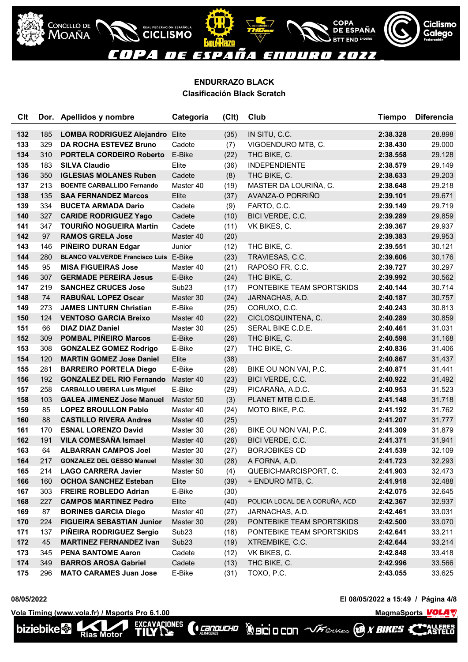

| <b>Clt</b> |     | Dor. Apellidos y nombre                      | Categoría         | (C <sub>l</sub> ) | Club                           | <b>Tiempo</b> | <b>Diferencia</b> |
|------------|-----|----------------------------------------------|-------------------|-------------------|--------------------------------|---------------|-------------------|
| 132        | 185 | <b>LOMBA RODRIGUEZ Alejandro Elite</b>       |                   | (35)              | IN SITU, C.C.                  | 2:38.328      | 28.898            |
| 133        | 329 | <b>DA ROCHA ESTEVEZ Bruno</b>                | Cadete            | (7)               | VIGOENDURO MTB, C.             | 2:38.430      | 29.000            |
| 134        | 310 | <b>PORTELA CORDEIRO Roberto</b>              | E-Bike            | (22)              | THC BIKE, C.                   | 2:38.558      | 29.128            |
| 135        | 183 | <b>SILVA Claudio</b>                         | Elite             | (36)              | <b>INDEPENDIENTE</b>           | 2:38.579      | 29.149            |
| 136        | 350 | <b>IGLESIAS MOLANES Ruben</b>                | Cadete            | (8)               | THC BIKE, C.                   | 2:38.633      | 29.203            |
| 137        | 213 | <b>BOENTE CARBALLIDO Fernando</b>            | Master 40         | (19)              | MASTER DA LOURIÑA, C.          | 2:38.648      | 29.218            |
| 138        | 135 | <b>SAA FERNANDEZ Marcos</b>                  | Elite             | (37)              | AVANZA-O PORRIÑO               | 2:39.101      | 29.671            |
| 139        | 334 | <b>BUCETA ARMADA Dario</b>                   | Cadete            | (9)               | FARTO, C.C.                    | 2:39.149      | 29.719            |
| 140        | 327 | <b>CARIDE RODRIGUEZ Yago</b>                 | Cadete            | (10)              | BICI VERDE, C.C.               | 2:39.289      | 29.859            |
| 141        | 347 | <b>TOURIÑO NOGUEIRA Martin</b>               | Cadete            | (11)              | VK BIKES, C.                   | 2:39.367      | 29.937            |
| 142        | 97  | <b>RAMOS GRELA Jose</b>                      | Master 40         | (20)              |                                | 2:39.383      | 29.953            |
| 143        | 146 | PIÑEIRO DURAN Edgar                          | Junior            | (12)              | THC BIKE, C.                   | 2:39.551      | 30.121            |
| 144        | 280 | <b>BLANCO VALVERDE Francisco Luis E-Bike</b> |                   | (23)              | TRAVIESAS, C.C.                | 2:39.606      | 30.176            |
| 145        | 95  | <b>MISA FIGUEIRAS Jose</b>                   | Master 40         | (21)              | RAPOSO FR, C.C.                | 2:39.727      | 30.297            |
| 146        | 307 | <b>GERMADE PEREIRA Jesus</b>                 | E-Bike            | (24)              | THC BIKE, C.                   | 2:39.992      | 30.562            |
| 147        | 219 | <b>SANCHEZ CRUCES Jose</b>                   | Sub <sub>23</sub> | (17)              | PONTEBIKE TEAM SPORTSKIDS      | 2:40.144      | 30.714            |
| 148        | 74  | <b>RABUÑAL LOPEZ Oscar</b>                   | Master 30         | (24)              | JARNACHAS, A.D.                | 2:40.187      | 30.757            |
| 149        | 273 | <b>JAMES LINTURN Christian</b>               | E-Bike            | (25)              | CORUXO, C.C.                   | 2:40.243      | 30.813            |
| 150        | 124 | <b>VENTOSO GARCIA Breixo</b>                 | Master 40         | (22)              | CICLOSQUINTENA, C.             | 2:40.289      | 30.859            |
| 151        | 66  | <b>DIAZ DIAZ Daniel</b>                      | Master 30         | (25)              | SERAL BIKE C.D.E.              | 2:40.461      | 31.031            |
| 152        | 309 | <b>POMBAL PIÑEIRO Marcos</b>                 | E-Bike            | (26)              | THC BIKE, C.                   | 2:40.598      | 31.168            |
| 153        | 308 | <b>GONZALEZ GOMEZ Rodrigo</b>                | E-Bike            | (27)              | THC BIKE, C.                   | 2:40.836      | 31.406            |
| 154        | 120 | <b>MARTIN GOMEZ Jose Daniel</b>              | Elite             | (38)              |                                | 2:40.867      | 31.437            |
| 155        | 281 | <b>BARREIRO PORTELA Diego</b>                | E-Bike            | (28)              | BIKE OU NON VAI, P.C.          | 2:40.871      | 31.441            |
| 156        | 192 | <b>GONZALEZ DEL RIO Fernando</b>             | Master 40         | (23)              | BICI VERDE, C.C.               | 2:40.922      | 31.492            |
| 157        | 258 | <b>CARBALLO UBEIRA Luis Miguel</b>           | E-Bike            | (29)              | PICARAÑA, A.D.C.               | 2:40.953      | 31.523            |
| 158        | 103 | <b>GALEA JIMENEZ Jose Manuel</b>             | Master 50         | (3)               | PLANET MTB C.D.E.              | 2:41.148      | 31.718            |
| 159        | 85  | <b>LOPEZ BROULLON Pablo</b>                  | Master 40         | (24)              | MOTO BIKE, P.C.                | 2:41.192      | 31.762            |
| 160        | 88  | <b>CASTILLO RIVERA Andres</b>                | Master 40         | (25)              |                                | 2:41.207      | 31.777            |
| 161        | 170 | <b>ESNAL LORENZO David</b>                   | Master 30         | (26)              | BIKE OU NON VAI, P.C.          | 2:41.309      | 31.879            |
| 162        | 191 | <b>VILA COMESAÑA Ismael</b>                  | Master 40         | (26)              | BICI VERDE, C.C.               | 2:41.371      | 31.941            |
| 163        | 64  | <b>ALBARRAN CAMPOS Joel</b>                  | Master 30         | (27)              | <b>BORJOBIKES CD</b>           | 2:41.539      | 32.109            |
| 164        | 217 | <b>GONZALEZ DEL GESSO Manuel</b>             | Master 30         | (28)              | A FORNA, A.D.                  | 2:41.723      | 32.293            |
| 165        | 214 | <b>LAGO CARRERA Javier</b>                   | Master 50         | (4)               | QUEBICI-MARCISPORT, C.         | 2:41.903      | 32.473            |
| 166        | 160 | <b>OCHOA SANCHEZ Esteban</b>                 | Elite             | (39)              | + ENDURO MTB, C.               | 2:41.918      | 32.488            |
| 167        | 303 | <b>FREIRE ROBLEDO Adrian</b>                 | E-Bike            | (30)              |                                | 2:42.075      | 32.645            |
| 168        | 227 | <b>CAMPOS MARTINEZ Pedro</b>                 | Elite             | (40)              | POLICIA LOCAL DE A CORUÑA, ACD | 2:42.367      | 32.937            |
| 169        | 87  | <b>BORINES GARCIA Diego</b>                  | Master 40         | (27)              | JARNACHAS, A.D.                | 2:42.461      | 33.031            |
| 170        | 224 | <b>FIGUEIRA SEBASTIAN Junior</b>             | Master 30         | (29)              | PONTEBIKE TEAM SPORTSKIDS      | 2:42.500      | 33.070            |
| 171        | 137 | PIÑEIRA RODRIGUEZ Sergio                     | Sub <sub>23</sub> | (18)              | PONTEBIKE TEAM SPORTSKIDS      | 2:42.641      | 33.211            |
| 172        | 45  | <b>MARTINEZ FERNANDEZ Ivan</b>               | Sub <sub>23</sub> | (19)              | XTREMBIKE, C.C.                | 2:42.644      | 33.214            |
| 173        | 345 | <b>PENA SANTOME Aaron</b>                    | Cadete            | (12)              | VK BIKES, C.                   | 2:42.848      | 33.418            |
| 174        | 349 | <b>BARROS AROSA Gabriel</b>                  | Cadete            | (13)              | THC BIKE, C.                   | 2:42.996      | 33.566            |
| 175        | 296 | <b>MATO CARAMES Juan Jose</b>                | E-Bike            | (31)              | TOXO, P.C.                     | 2:43.055      | 33.625            |

*CENDUCHO* 

**08/05/2022 El 08/05/2022 a 15:49 / Página 4/8**

Vola Timing (www.vola.fr) / Msports Pro 6.1.00<br>**biziebike** as Motor **TILY New COLLEGE COLLEGE AREASTELD** 

Rias Motor



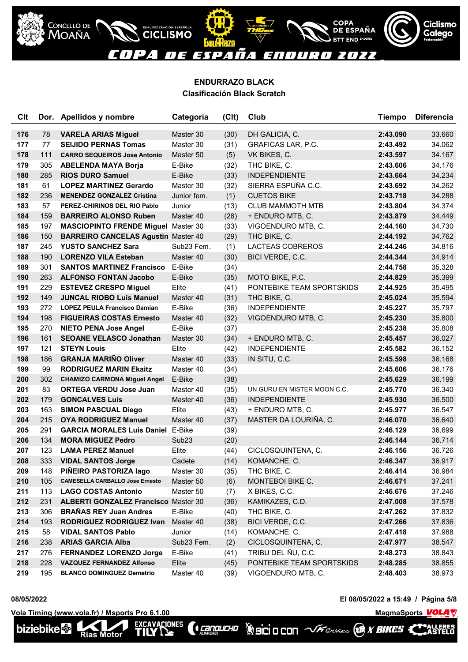

| Clt |     | Dor. Apellidos y nombre                     | Categoría         | (C <sub>l</sub> ) | Club                        | <b>Tiempo</b> | <b>Diferencia</b> |
|-----|-----|---------------------------------------------|-------------------|-------------------|-----------------------------|---------------|-------------------|
| 176 | 78  | <b>VARELA ARIAS Miguel</b>                  | Master 30         | (30)              | DH GALICIA, C.              | 2:43.090      | 33.660            |
| 177 | 77  | <b>SEIJIDO PERNAS Tomas</b>                 | Master 30         | (31)              | <b>GRAFICAS LAR, P.C.</b>   | 2:43.492      | 34.062            |
| 178 | 111 | <b>CARRO SEQUEIROS Jose Antonio</b>         | Master 50         | (5)               | VK BIKES, C.                | 2:43.597      | 34.167            |
| 179 | 305 | <b>ABELENDA MAYA Borja</b>                  | E-Bike            | (32)              | THC BIKE, C.                | 2:43.606      | 34.176            |
| 180 | 285 | <b>RIOS DURO Samuel</b>                     | E-Bike            | (33)              | <b>INDEPENDIENTE</b>        | 2:43.664      | 34.234            |
| 181 | 61  | <b>LOPEZ MARTINEZ Gerardo</b>               | Master 30         | (32)              | SIERRA ESPUÑA C.C.          | 2:43.692      | 34.262            |
| 182 | 236 | <b>MENENDEZ GONZALEZ Cristina</b>           | Junior fem.       | (1)               | <b>CUETOS BIKE</b>          | 2:43.718      | 34.288            |
| 183 | 57  | PEREZ-CHIRINOS DEL RIO Pablo                | Junior            | (13)              | <b>CLUB MAMMOTH MTB</b>     | 2:43.804      | 34.374            |
| 184 | 159 | <b>BARREIRO ALONSO Ruben</b>                | Master 40         | (28)              | + ENDURO MTB, C.            | 2:43.879      | 34.449            |
| 185 | 197 | <b>MASCIOPINTO FRENDE Miguel Master 30</b>  |                   | (33)              | VIGOENDURO MTB, C.          | 2:44.160      | 34.730            |
| 186 | 150 | <b>BARREIRO CANCELAS Agustin Master 40</b>  |                   | (29)              | THC BIKE, C.                | 2:44.192      | 34.762            |
| 187 | 245 | <b>YUSTO SANCHEZ Sara</b>                   | Sub23 Fem.        | (1)               | LACTEAS COBREROS            | 2:44.246      | 34.816            |
| 188 | 190 | <b>LORENZO VILA Esteban</b>                 | Master 40         | (30)              | BICI VERDE, C.C.            | 2:44.344      | 34.914            |
| 189 | 301 | <b>SANTOS MARTINEZ Francisco</b>            | E-Bike            | (34)              |                             | 2:44.758      | 35.328            |
| 190 | 263 | <b>ALFONSO FONTAN Jacobo</b>                | E-Bike            | (35)              | MOTO BIKE, P.C.             | 2:44.829      | 35.399            |
| 191 | 229 | <b>ESTEVEZ CRESPO Miguel</b>                | Elite             | (41)              | PONTEBIKE TEAM SPORTSKIDS   | 2:44.925      | 35.495            |
| 192 | 149 | <b>JUNCAL RIOBO Luis Manuel</b>             | Master 40         | (31)              | THC BIKE, C.                | 2:45.024      | 35.594            |
| 193 | 272 | <b>LOPEZ PEULA Francisco Damian</b>         | E-Bike            | (36)              | <b>INDEPENDIENTE</b>        | 2:45.227      | 35.797            |
| 194 | 198 | <b>FIGUEIRAS COSTAS Ernesto</b>             | Master 40         | (32)              | VIGOENDURO MTB, C.          | 2:45.230      | 35.800            |
| 195 | 270 | <b>NIETO PENA Jose Angel</b>                | E-Bike            | (37)              |                             | 2:45.238      | 35.808            |
| 196 | 161 | <b>SEOANE VELASCO Jonathan</b>              | Master 30         | (34)              | + ENDURO MTB, C.            | 2:45.457      | 36.027            |
| 197 | 121 | <b>STEYN Louis</b>                          | Elite             | (42)              | <b>INDEPENDIENTE</b>        | 2:45.582      | 36.152            |
| 198 | 186 | <b>GRANJA MARINO Oliver</b>                 | Master 40         | (33)              | IN SITU, C.C.               | 2:45.598      | 36.168            |
| 199 | 99  | <b>RODRIGUEZ MARIN Ekaitz</b>               | Master 40         | (34)              |                             | 2:45.606      | 36.176            |
| 200 | 302 | <b>CHAMIZO CARMONA Miguel Angel</b>         | E-Bike            | (38)              |                             | 2:45.629      | 36.199            |
| 201 | 83  | <b>ORTEGA VERDU Jose Juan</b>               | Master 40         | (35)              | UN GURU EN MISTER MOON C.C. | 2:45.770      | 36.340            |
| 202 | 179 | <b>GONCALVES Luis</b>                       | Master 40         | (36)              | <b>INDEPENDIENTE</b>        | 2:45.930      | 36.500            |
| 203 | 163 | <b>SIMON PASCUAL Diego</b>                  | Elite             | (43)              | + ENDURO MTB, C.            | 2:45.977      | 36.547            |
| 204 | 215 | <b>OYA RODRIGUEZ Manuel</b>                 | Master 40         | (37)              | MASTER DA LOURIÑA, C.       | 2:46.070      | 36.640            |
| 205 | 291 | <b>GARCIA MORALES Luis Daniel</b>           | E-Bike            | (39)              |                             | 2:46.129      | 36.699            |
| 206 | 134 | <b>MORA MIGUEZ Pedro</b>                    | Sub <sub>23</sub> | (20)              |                             | 2:46.144      | 36.714            |
| 207 | 123 | <b>LAMA PEREZ Manuel</b>                    | Elite             | (44)              | CICLOSQUINTENA, C.          | 2:46.156      | 36.726            |
| 208 | 333 | <b>VIDAL SANTOS Jorge</b>                   | Cadete            | (14)              | KOMANCHE, C.                | 2:46.347      | 36.917            |
| 209 | 148 | PIÑEIRO PASTORIZA lago                      | Master 30         | (35)              | THC BIKE, C.                | 2:46.414      | 36.984            |
| 210 | 105 | <b>CAMESELLA CARBALLO Jose Ernesto</b>      | Master 50         | (6)               | MONTEBOI BIKE C.            | 2:46.671      | 37.241            |
| 211 | 113 | <b>LAGO COSTAS Antonio</b>                  | Master 50         | (7)               | X BIKES, C.C.               | 2:46.676      | 37.246            |
| 212 | 231 | <b>ALBERTI GONZALEZ Francisco Master 30</b> |                   | (36)              | KAMIKAZES, C.D.             | 2:47.008      | 37.578            |
| 213 | 306 | <b>BRAÑAS REY Juan Andres</b>               | E-Bike            | (40)              | THC BIKE, C.                | 2:47.262      | 37.832            |
| 214 | 193 | <b>RODRIGUEZ RODRIGUEZ Ivan</b>             | Master 40         | (38)              | BICI VERDE, C.C.            | 2:47.266      | 37.836            |
| 215 | 58  | <b>VIDAL SANTOS Pablo</b>                   | Junior            | (14)              | KOMANCHE, C.                | 2:47.418      | 37.988            |
| 216 | 238 | <b>ARIAS GARCIA Alba</b>                    | Sub23 Fem.        | (2)               | CICLOSQUINTENA, C.          | 2:47.977      | 38.547            |
| 217 | 276 | <b>FERNANDEZ LORENZO Jorge</b>              | E-Bike            | (41)              | TRIBU DEL ÑU, C.C.          | 2:48.273      | 38.843            |
| 218 | 228 | VAZQUEZ FERNANDEZ Alfonso                   | Elite             | (45)              | PONTEBIKE TEAM SPORTSKIDS   | 2:48.285      | 38.855            |
| 219 | 195 | <b>BLANCO DOMINGUEZ Demetrio</b>            | Master 40         | (39)              | VIGOENDURO MTB, C.          | 2:48.403      | 38.973            |

*CENDUCHO* 

**08/05/2022 El 08/05/2022 a 15:49 / Página 5/8**

**VolaSoftControlPdf**

NLLERES<br>NSTEL O

Vola Timing (www.vola.fr) / Msports Pro 6.1.00<br>**biziebike** as Motor **TILY New COLLEGE COLLEGE AREASTELD** 

Rias Motor

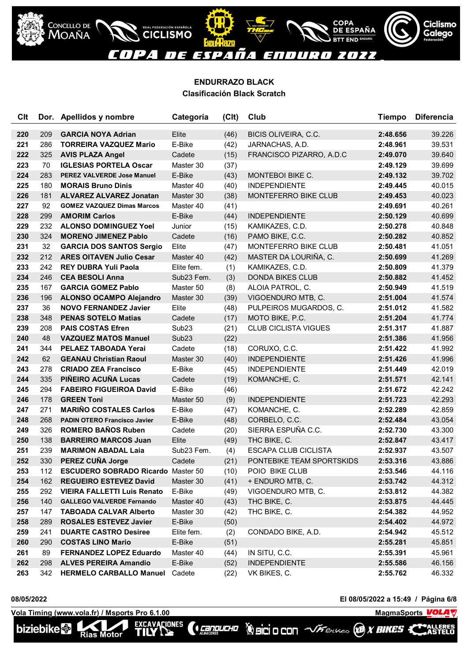

| <b>C<sub>It</sub></b> |     | Dor. Apellidos y nombre                   | Categoría         | (Clt) | Club                        | <b>Tiempo</b> | <b>Diferencia</b> |
|-----------------------|-----|-------------------------------------------|-------------------|-------|-----------------------------|---------------|-------------------|
| 220                   | 209 | <b>GARCIA NOYA Adrian</b>                 | Elite             | (46)  | BICIS OLIVEIRA, C.C.        | 2:48.656      | 39.226            |
| 221                   | 286 | <b>TORREIRA VAZQUEZ Mario</b>             | E-Bike            | (42)  | JARNACHAS, A.D.             | 2:48.961      | 39.531            |
| 222                   | 325 | <b>AVIS PLAZA Angel</b>                   | Cadete            | (15)  | FRANCISCO PIZARRO, A.D.C    | 2:49.070      | 39.640            |
| 223                   | 70  | <b>IGLESIAS PORTELA Oscar</b>             | Master 30         | (37)  |                             | 2:49.129      | 39.699            |
| 224                   | 283 | <b>PEREZ VALVERDE Jose Manuel</b>         | E-Bike            | (43)  | MONTEBOI BIKE C.            | 2:49.132      | 39.702            |
| 225                   | 180 | <b>MORAIS Bruno Dinis</b>                 | Master 40         | (40)  | <b>INDEPENDIENTE</b>        | 2:49.445      | 40.015            |
| 226                   | 181 | <b>ALVAREZ ALVAREZ Jonatan</b>            | Master 30         | (38)  | MONTEFERRO BIKE CLUB        | 2:49.453      | 40.023            |
| 227                   | 92  | <b>GOMEZ VAZQUEZ Dimas Marcos</b>         | Master 40         | (41)  |                             | 2:49.691      | 40.261            |
| 228                   | 299 | <b>AMORIM Carlos</b>                      | E-Bike            | (44)  | <b>INDEPENDIENTE</b>        | 2:50.129      | 40.699            |
| 229                   | 232 | <b>ALONSO DOMINGUEZ Yoel</b>              | Junior            | (15)  | KAMIKAZES, C.D.             | 2:50.278      | 40.848            |
| 230                   | 324 | <b>MORENO JIMENEZ Pablo</b>               | Cadete            | (16)  | PAMO BIKE, C.C.             | 2:50.282      | 40.852            |
| 231                   | 32  | <b>GARCIA DOS SANTOS Sergio</b>           | Elite             | (47)  | MONTEFERRO BIKE CLUB        | 2:50.481      | 41.051            |
| 232                   | 212 | <b>ARES OITAVEN Julio Cesar</b>           | Master 40         | (42)  | MASTER DA LOURIÑA, C.       | 2:50.699      | 41.269            |
| 233                   | 242 | <b>REY DUBRA Yuli Paola</b>               | Elite fem.        | (1)   | KAMIKAZES, C.D.             | 2:50.809      | 41.379            |
| 234                   | 246 | <b>CEA BESOLI Anna</b>                    | Sub23 Fem.        | (3)   | <b>DONDA BIKES CLUB</b>     | 2:50.882      | 41.452            |
| 235                   | 167 | <b>GARCIA GOMEZ Pablo</b>                 | Master 50         | (8)   | ALOIA PATROL, C.            | 2:50.949      | 41.519            |
| 236                   | 196 | <b>ALONSO OCAMPO Alejandro</b>            | Master 30         | (39)  | VIGOENDURO MTB, C.          | 2:51.004      | 41.574            |
| 237                   | 36  | <b>NOVO FERNANDEZ Javier</b>              | Elite             | (48)  | PULPEIROS MUGARDOS, C.      | 2:51.012      | 41.582            |
| 238                   | 348 | <b>PENAS SOTELO Matias</b>                | Cadete            | (17)  | MOTO BIKE, P.C.             | 2:51.204      | 41.774            |
| 239                   | 208 | <b>PAIS COSTAS Efren</b>                  | Sub <sub>23</sub> | (21)  | <b>CLUB CICLISTA VIGUES</b> | 2:51.317      | 41.887            |
| 240                   | 48  | <b>VAZQUEZ MATOS Manuel</b>               | Sub <sub>23</sub> | (22)  |                             | 2:51.386      | 41.956            |
| 241                   | 344 | <b>PELAEZ TABOADA Yerai</b>               | Cadete            | (18)  | CORUXO, C.C.                | 2:51.422      | 41.992            |
| 242                   | 62  | <b>GEANAU Christian Raoul</b>             | Master 30         | (40)  | <b>INDEPENDIENTE</b>        | 2:51.426      | 41.996            |
| 243                   | 278 | <b>CRIADO ZEA Francisco</b>               | E-Bike            | (45)  | <b>INDEPENDIENTE</b>        | 2:51.449      | 42.019            |
| 244                   | 335 | PIÑEIRO ACUÑA Lucas                       | Cadete            | (19)  | KOMANCHE, C.                | 2:51.571      | 42.141            |
| 245                   | 294 | <b>FABEIRO FIGUEIROA David</b>            | E-Bike            | (46)  |                             | 2:51.672      | 42.242            |
| 246                   | 178 | <b>GREEN Toni</b>                         | Master 50         | (9)   | <b>INDEPENDIENTE</b>        | 2:51.723      | 42.293            |
| 247                   | 271 | <b>MARIÑO COSTALES Carlos</b>             | E-Bike            | (47)  | KOMANCHE, C.                | 2:52.289      | 42.859            |
| 248                   | 268 | <b>PADIN OTERO Francisco Javier</b>       | E-Bike            | (48)  | CORBELO, C.C.               | 2:52.484      | 43.054            |
| 249                   | 326 | <b>ROMERO BAÑOS Ruben</b>                 | Cadete            | (20)  | SIERRA ESPUÑA C.C.          | 2:52.730      | 43.300            |
| 250                   | 138 | <b>BARREIRO MARCOS Juan</b>               | Elite             | (49)  | THC BIKE, C.                | 2:52.847      | 43.417            |
| 251                   | 239 | <b>MARIMON ABADAL Laia</b>                | Sub23 Fem.        | (4)   | <b>ESCAPA CLUB CICLISTA</b> | 2:52.937      | 43.507            |
| 252                   | 330 | PEREZ CUÑA Jorge                          | Cadete            | (21)  | PONTEBIKE TEAM SPORTSKIDS   | 2:53.316      | 43.886            |
| 253                   | 112 | <b>ESCUDERO SOBRADO Ricardo Master 50</b> |                   | (10)  | POIO BIKE CLUB              | 2:53.546      | 44.116            |
| 254                   | 162 | <b>REGUEIRO ESTEVEZ David</b>             | Master 30         | (41)  | + ENDURO MTB, C.            | 2:53.742      | 44.312            |
| 255                   | 292 | <b>VIEIRA FALLETTI Luis Renato</b>        | E-Bike            | (49)  | VIGOENDURO MTB, C.          | 2:53.812      | 44.382            |
| 256                   | 140 | <b>GALLEGO VALVERDE Fernando</b>          | Master 40         | (43)  | THC BIKE, C.                | 2:53.875      | 44.445            |
| 257                   | 147 | <b>TABOADA CALVAR Alberto</b>             | Master 30         | (42)  | THC BIKE, C.                | 2:54.382      | 44.952            |
| 258                   | 289 | <b>ROSALES ESTEVEZ Javier</b>             | E-Bike            | (50)  |                             | 2:54.402      | 44.972            |
| 259                   | 241 | <b>DUARTE CASTRO Desiree</b>              | Elite fem.        | (2)   | CONDADO BIKE, A.D.          | 2:54.942      | 45.512            |
| 260                   | 290 | <b>COSTAS LINO Mario</b>                  | E-Bike            | (51)  |                             | 2:55.281      | 45.851            |
| 261                   | 89  | <b>FERNANDEZ LOPEZ Eduardo</b>            | Master 40         | (44)  | IN SITU, C.C.               | 2:55.391      | 45.961            |
| 262                   | 298 | <b>ALVES PEREIRA Amandio</b>              | E-Bike            | (52)  | <b>INDEPENDIENTE</b>        | 2:55.586      | 46.156            |
| 263                   | 342 | <b>HERMELO CARBALLO Manuel</b>            | Cadete            | (22)  | VK BIKES, C.                | 2:55.762      | 46.332            |

(**Cangucho** 

**08/05/2022 El 08/05/2022 a 15:49 / Página 6/8**

**VolaSoftControlPdf**

ALLERES<br>ASTELO

**Vola Timing (www.vola.fr) / Msports Pro 6.1.00 MagmaChanger 2012 12:00 MagmaChanger 2014** EXCAVACIONES

U

Rias Motor

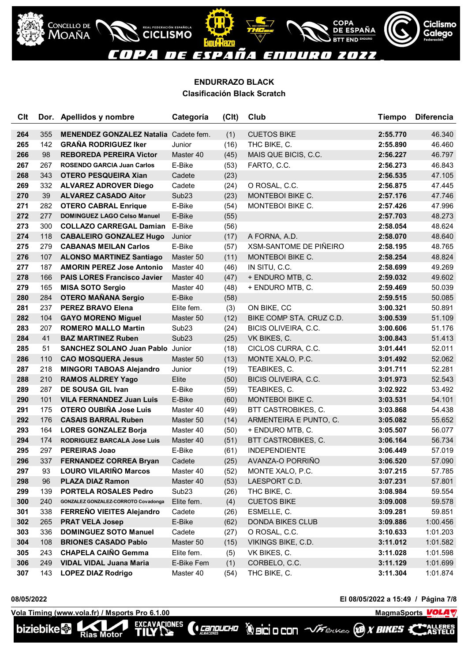

# **ENDURRAZO BLACK**

| <b>Clasificación Black Scratch</b> |  |
|------------------------------------|--|
|------------------------------------|--|

| <b>Clt</b> |     | Dor. Apellidos y nombre                      | Categoría         | (C <sub>l</sub> ) | Club                     | Tiempo   | <b>Diferencia</b> |
|------------|-----|----------------------------------------------|-------------------|-------------------|--------------------------|----------|-------------------|
| 264        | 355 | <b>MENENDEZ GONZALEZ Natalia</b> Cadete fem. |                   | (1)               | <b>CUETOS BIKE</b>       | 2:55.770 | 46.340            |
| 265        | 142 | <b>GRAÑA RODRIGUEZ Iker</b>                  | Junior            | (16)              | THC BIKE, C.             | 2:55.890 | 46.460            |
| 266        | 98  | <b>REBOREDA PEREIRA Victor</b>               | Master 40         | (45)              | MAIS QUE BICIS, C.C.     | 2:56.227 | 46.797            |
| 267        | 267 | <b>ROSENDO GARCIA Juan Carlos</b>            | E-Bike            | (53)              | FARTO, C.C.              | 2:56.273 | 46.843            |
| 268        | 343 | <b>OTERO PESQUEIRA Xian</b>                  | Cadete            | (23)              |                          | 2:56.535 | 47.105            |
| 269        | 332 | <b>ALVAREZ ADROVER Diego</b>                 | Cadete            | (24)              | O ROSAL, C.C.            | 2:56.875 | 47.445            |
| 270        | 39  | <b>ALVAREZ CASADO Aitor</b>                  | Sub <sub>23</sub> | (23)              | MONTEBOI BIKE C.         | 2:57.176 | 47.746            |
| 271        | 282 | <b>OTERO CABRAL Enrique</b>                  | E-Bike            | (54)              | MONTEBOI BIKE C.         | 2:57.426 | 47.996            |
| 272        | 277 | <b>DOMINGUEZ LAGO Celso Manuel</b>           | E-Bike            | (55)              |                          | 2:57.703 | 48.273            |
| 273        | 300 | <b>COLLAZO CARREGAL Damian</b>               | E-Bike            | (56)              |                          | 2:58.054 | 48.624            |
| 274        | 118 | <b>CABALEIRO GONZALEZ Hugo</b>               | Junior            | (17)              | A FORNA, A.D.            | 2:58.070 | 48.640            |
| 275        | 279 | <b>CABANAS MEILAN Carlos</b>                 | E-Bike            | (57)              | XSM-SANTOME DE PIÑEIRO   | 2:58.195 | 48.765            |
| 276        | 107 | <b>ALONSO MARTINEZ Santiago</b>              | Master 50         | (11)              | MONTEBOI BIKE C.         | 2:58.254 | 48.824            |
| 277        | 187 | <b>AMORIN PEREZ Jose Antonio</b>             | Master 40         | (46)              | IN SITU, C.C.            | 2:58.699 | 49.269            |
| 278        | 166 | <b>PAIS LORES Francisco Javier</b>           | Master 40         | (47)              | + ENDURO MTB, C.         | 2:59.032 | 49.602            |
| 279        | 165 | <b>MISA SOTO Sergio</b>                      | Master 40         | (48)              | + ENDURO MTB, C.         | 2:59.469 | 50.039            |
| 280        | 284 | <b>OTERO MAÑANA Sergio</b>                   | E-Bike            | (58)              |                          | 2:59.515 | 50.085            |
| 281        | 237 | <b>PEREZ BRAVO Elena</b>                     | Elite fem.        | (3)               | ON BIKE, CC              | 3:00.321 | 50.891            |
| 282        | 104 | <b>GAYO MORENO Miguel</b>                    | Master 50         | (12)              | BIKE COMP STA. CRUZ C.D. | 3:00.539 | 51.109            |
| 283        | 207 | <b>ROMERO MALLO Martin</b>                   | Sub <sub>23</sub> | (24)              | BICIS OLIVEIRA, C.C.     | 3:00.606 | 51.176            |
| 284        | 41  | <b>BAZ MARTINEZ Ruben</b>                    | Sub <sub>23</sub> | (25)              | VK BIKES, C.             | 3:00.843 | 51.413            |
| 285        | 51  | <b>SANCHEZ SOLANO Juan Pablo Junior</b>      |                   | (18)              | CICLOS CURRA, C.C.       | 3:01.441 | 52.011            |
| 286        | 110 | <b>CAO MOSQUERA Jesus</b>                    | Master 50         | (13)              | MONTE XALO, P.C.         | 3:01.492 | 52.062            |
| 287        | 218 | <b>MINGORI TABOAS Alejandro</b>              | Junior            | (19)              | TEABIKES, C.             | 3:01.711 | 52.281            |
| 288        | 210 | <b>RAMOS ALDREY Yago</b>                     | Elite             | (50)              | BICIS OLIVEIRA, C.C.     | 3:01.973 | 52.543            |
| 289        | 287 | <b>DE SOUSA GIL Ivan</b>                     | E-Bike            | (59)              | TEABIKES, C.             | 3:02.922 | 53.492            |
| 290        | 101 | <b>VILA FERNANDEZ Juan Luis</b>              | E-Bike            | (60)              | MONTEBOI BIKE C.         | 3:03.531 | 54.101            |
| 291        | 175 | <b>OTERO OUBIÑA Jose Luis</b>                | Master 40         | (49)              | BTT CASTROBIKES, C.      | 3:03.868 | 54.438            |
| 292        | 176 | <b>CASAIS BARRAL Ruben</b>                   | Master 50         | (14)              | ARMENTEIRA E PUNTO, C.   | 3:05.082 | 55.652            |
| 293        | 164 | <b>LORES GONZALEZ Borja</b>                  | Master 40         | (50)              | + ENDURO MTB, C.         | 3:05.507 | 56.077            |
| 294        | 174 | <b>RODRIGUEZ BARCALA Jose Luis</b>           | Master 40         | (51)              | BTT CASTROBIKES, C.      | 3:06.164 | 56.734            |
| 295        | 297 | <b>PEREIRAS Joao</b>                         | E-Bike            | (61)              | <b>INDEPENDIENTE</b>     | 3:06.449 | 57.019            |
| 296        | 337 | <b>FERNANDEZ CORREA Bryan</b>                | Cadete            | (25)              | AVANZA-O PORRIÑO         | 3:06.520 | 57.090            |
| 297        | 93  | <b>LOURO VILARIÑO Marcos</b>                 | Master 40         | (52)              | MONTE XALO, P.C.         | 3:07.215 | 57.785            |
| 298        | 96  | <b>PLAZA DIAZ Ramon</b>                      | Master 40         | (53)              | LAESPORT C.D.            | 3:07.231 | 57.801            |
| 299        | 139 | <b>PORTELA ROSALES Pedro</b>                 | Sub <sub>23</sub> | (26)              | THC BIKE, C.             | 3:08.984 | 59.554            |
| 300        | 240 | GONZALEZ GONZALEZ-CORROTO Covadonga          | Elite fem.        | (4)               | <b>CUETOS BIKE</b>       | 3:09.008 | 59.578            |
| 301        | 338 | FERREÑO VIEITES Alejandro                    | Cadete            | (26)              | ESMELLE, C.              | 3:09.281 | 59.851            |
| 302        | 265 | <b>PRAT VELA Josep</b>                       | E-Bike            | (62)              | <b>DONDA BIKES CLUB</b>  | 3:09.886 | 1:00.456          |
| 303        | 336 | <b>DOMINGUEZ SOTO Manuel</b>                 | Cadete            | (27)              | O ROSAL, C.C.            | 3:10.633 | 1:01.203          |
| 304        | 108 | <b>BRIONES CASADO Pablo</b>                  | Master 50         | (15)              | VIKINGS BIKE, C.D.       | 3:11.012 | 1:01.582          |
| 305        | 243 | <b>CHAPELA CAIÑO Gemma</b>                   | Elite fem.        | (5)               | VK BIKES, C.             | 3:11.028 | 1:01.598          |
| 306        | 249 | <b>VIDAL VIDAL Juana Maria</b>               | E-Bike Fem        | (1)               | CORBELO, C.C.            | 3:11.129 | 1:01.699          |
| 307        | 143 | <b>LOPEZ DIAZ Rodrigo</b>                    | Master 40         | (54)              | THC BIKE, C.             | 3:11.304 | 1:01.874          |

(**Cangucho** 

**08/05/2022 El 08/05/2022 a 15:49 / Página 7/8**

**Vola Timing (www.vola.fr) / Msports Pro 6.1.00 MagmaChanger 2012 12:00 MagmaChanger 2014** EXCAVACIONES Rias Motor



ALLERES<br>ASTELO